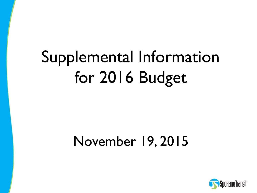# Supplemental Information for 2016 Budget

### November 19, 2015

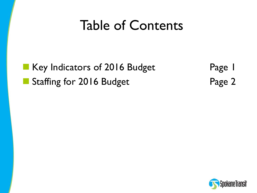## Table of Contents

Key Indicators of 2016 Budget Staffing for 2016 Budget

Page 1 Page 2

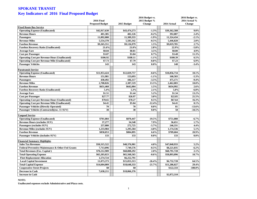#### **SPOKANE TRANSIT Key Indicators of 2016 Final Proposed Budget**

| 2015 Budget %<br>2014 Actual %<br><b>2016 Final</b><br><b>Proposed Budget</b><br>2015 Budget<br><b>Change</b><br>2014 Actual<br><b>Change</b><br><b>Fixed Route Bus Service</b><br>$-1.3%$<br>$9.0\%$<br><b>Operating Expense (Unallocated)</b><br>\$42,917,630<br>\$43,474,273<br>\$39,362,588<br><b>Revenue Hours</b><br>401,385<br>402,126<br>$-0.2%$<br>392,087<br>2.4%<br>11,309,333<br>$-1.9%$<br>11,324,434<br>$-2.1%$<br>Passengers<br>11,092,000<br><b>Revenue Miles</b><br>5,583,342<br>5,554,378<br>$-0.5%$<br>5,446,828<br>2.0%<br>2.7%<br><b>Farebox Revenue</b><br>\$9,265,551<br>\$9,126,979<br>1.5%<br>\$9,019,785<br>2.8%<br>$-5.8%$<br><b>Farebox Recovery Ratio (Unallocated)</b><br>21.6%<br>21.0%<br>22.9%<br>4.9%<br>\$0.84<br>\$0.81<br>3.5%<br>\$0.80<br><b>Average Fare</b><br>11.3%<br><b>Cost per Passenger</b><br>\$3.87<br>\$3.84<br>0.7%<br>\$3.48<br><b>Operating Cost per Revenue Hour (Unallocated)</b><br>\$106.92<br>\$108.11<br>$-1.1%$<br>\$100.39<br>6.5%<br>6.9%<br>\$7.73<br>\$7.79<br>$-0.8%$<br>\$7.23<br><b>Operating Cost per Revenue Mile (Unallocated)</b><br>143<br>148<br><b>Passenger Vehicles</b><br>143<br>$0.0\%$<br>$-3.4%$<br><b>Paratransit Service</b><br><b>Operating Expense (Unallocated)</b><br>\$12,029,757<br>$-0.6%$<br>10.1%<br>\$11,953,424<br>\$10,856,734<br><b>Revenue Hours</b><br>151,981<br>153,693<br>$-1.1%$<br>$-5.3%$<br>160,503<br>430,492<br>446,117<br>$-3.5%$<br>475,171<br>$-9.4%$<br><b>Passengers</b><br><b>Revenue Miles</b><br>2,708,826<br>13.5%<br>2,387,519<br>2,462,003<br>10.0%<br>$2.6\%$<br>\$651,460<br>\$642,004<br>1.5%<br>\$634,992<br><b>Farebox Revenue</b><br>2.1%<br><b>Farebox Recovery Ratio (Unallocated)</b><br>5.4%<br>5.3%<br>5.8%<br>$-6.8%$<br>\$1.51<br>\$1.44<br>5.2%<br>\$1.34<br>13.2% |
|-------------------------------------------------------------------------------------------------------------------------------------------------------------------------------------------------------------------------------------------------------------------------------------------------------------------------------------------------------------------------------------------------------------------------------------------------------------------------------------------------------------------------------------------------------------------------------------------------------------------------------------------------------------------------------------------------------------------------------------------------------------------------------------------------------------------------------------------------------------------------------------------------------------------------------------------------------------------------------------------------------------------------------------------------------------------------------------------------------------------------------------------------------------------------------------------------------------------------------------------------------------------------------------------------------------------------------------------------------------------------------------------------------------------------------------------------------------------------------------------------------------------------------------------------------------------------------------------------------------------------------------------------------------------------------------------------------------------------------------------------------------------------------------------------------|
|                                                                                                                                                                                                                                                                                                                                                                                                                                                                                                                                                                                                                                                                                                                                                                                                                                                                                                                                                                                                                                                                                                                                                                                                                                                                                                                                                                                                                                                                                                                                                                                                                                                                                                                                                                                                       |
|                                                                                                                                                                                                                                                                                                                                                                                                                                                                                                                                                                                                                                                                                                                                                                                                                                                                                                                                                                                                                                                                                                                                                                                                                                                                                                                                                                                                                                                                                                                                                                                                                                                                                                                                                                                                       |
|                                                                                                                                                                                                                                                                                                                                                                                                                                                                                                                                                                                                                                                                                                                                                                                                                                                                                                                                                                                                                                                                                                                                                                                                                                                                                                                                                                                                                                                                                                                                                                                                                                                                                                                                                                                                       |
|                                                                                                                                                                                                                                                                                                                                                                                                                                                                                                                                                                                                                                                                                                                                                                                                                                                                                                                                                                                                                                                                                                                                                                                                                                                                                                                                                                                                                                                                                                                                                                                                                                                                                                                                                                                                       |
|                                                                                                                                                                                                                                                                                                                                                                                                                                                                                                                                                                                                                                                                                                                                                                                                                                                                                                                                                                                                                                                                                                                                                                                                                                                                                                                                                                                                                                                                                                                                                                                                                                                                                                                                                                                                       |
|                                                                                                                                                                                                                                                                                                                                                                                                                                                                                                                                                                                                                                                                                                                                                                                                                                                                                                                                                                                                                                                                                                                                                                                                                                                                                                                                                                                                                                                                                                                                                                                                                                                                                                                                                                                                       |
|                                                                                                                                                                                                                                                                                                                                                                                                                                                                                                                                                                                                                                                                                                                                                                                                                                                                                                                                                                                                                                                                                                                                                                                                                                                                                                                                                                                                                                                                                                                                                                                                                                                                                                                                                                                                       |
|                                                                                                                                                                                                                                                                                                                                                                                                                                                                                                                                                                                                                                                                                                                                                                                                                                                                                                                                                                                                                                                                                                                                                                                                                                                                                                                                                                                                                                                                                                                                                                                                                                                                                                                                                                                                       |
|                                                                                                                                                                                                                                                                                                                                                                                                                                                                                                                                                                                                                                                                                                                                                                                                                                                                                                                                                                                                                                                                                                                                                                                                                                                                                                                                                                                                                                                                                                                                                                                                                                                                                                                                                                                                       |
|                                                                                                                                                                                                                                                                                                                                                                                                                                                                                                                                                                                                                                                                                                                                                                                                                                                                                                                                                                                                                                                                                                                                                                                                                                                                                                                                                                                                                                                                                                                                                                                                                                                                                                                                                                                                       |
|                                                                                                                                                                                                                                                                                                                                                                                                                                                                                                                                                                                                                                                                                                                                                                                                                                                                                                                                                                                                                                                                                                                                                                                                                                                                                                                                                                                                                                                                                                                                                                                                                                                                                                                                                                                                       |
|                                                                                                                                                                                                                                                                                                                                                                                                                                                                                                                                                                                                                                                                                                                                                                                                                                                                                                                                                                                                                                                                                                                                                                                                                                                                                                                                                                                                                                                                                                                                                                                                                                                                                                                                                                                                       |
|                                                                                                                                                                                                                                                                                                                                                                                                                                                                                                                                                                                                                                                                                                                                                                                                                                                                                                                                                                                                                                                                                                                                                                                                                                                                                                                                                                                                                                                                                                                                                                                                                                                                                                                                                                                                       |
|                                                                                                                                                                                                                                                                                                                                                                                                                                                                                                                                                                                                                                                                                                                                                                                                                                                                                                                                                                                                                                                                                                                                                                                                                                                                                                                                                                                                                                                                                                                                                                                                                                                                                                                                                                                                       |
|                                                                                                                                                                                                                                                                                                                                                                                                                                                                                                                                                                                                                                                                                                                                                                                                                                                                                                                                                                                                                                                                                                                                                                                                                                                                                                                                                                                                                                                                                                                                                                                                                                                                                                                                                                                                       |
|                                                                                                                                                                                                                                                                                                                                                                                                                                                                                                                                                                                                                                                                                                                                                                                                                                                                                                                                                                                                                                                                                                                                                                                                                                                                                                                                                                                                                                                                                                                                                                                                                                                                                                                                                                                                       |
|                                                                                                                                                                                                                                                                                                                                                                                                                                                                                                                                                                                                                                                                                                                                                                                                                                                                                                                                                                                                                                                                                                                                                                                                                                                                                                                                                                                                                                                                                                                                                                                                                                                                                                                                                                                                       |
|                                                                                                                                                                                                                                                                                                                                                                                                                                                                                                                                                                                                                                                                                                                                                                                                                                                                                                                                                                                                                                                                                                                                                                                                                                                                                                                                                                                                                                                                                                                                                                                                                                                                                                                                                                                                       |
|                                                                                                                                                                                                                                                                                                                                                                                                                                                                                                                                                                                                                                                                                                                                                                                                                                                                                                                                                                                                                                                                                                                                                                                                                                                                                                                                                                                                                                                                                                                                                                                                                                                                                                                                                                                                       |
|                                                                                                                                                                                                                                                                                                                                                                                                                                                                                                                                                                                                                                                                                                                                                                                                                                                                                                                                                                                                                                                                                                                                                                                                                                                                                                                                                                                                                                                                                                                                                                                                                                                                                                                                                                                                       |
|                                                                                                                                                                                                                                                                                                                                                                                                                                                                                                                                                                                                                                                                                                                                                                                                                                                                                                                                                                                                                                                                                                                                                                                                                                                                                                                                                                                                                                                                                                                                                                                                                                                                                                                                                                                                       |
| <b>Average Fare</b>                                                                                                                                                                                                                                                                                                                                                                                                                                                                                                                                                                                                                                                                                                                                                                                                                                                                                                                                                                                                                                                                                                                                                                                                                                                                                                                                                                                                                                                                                                                                                                                                                                                                                                                                                                                   |
| <b>Cost per Passenger</b><br>\$27.77<br>\$26.97<br>3.0%<br>\$22.85<br>21.5%                                                                                                                                                                                                                                                                                                                                                                                                                                                                                                                                                                                                                                                                                                                                                                                                                                                                                                                                                                                                                                                                                                                                                                                                                                                                                                                                                                                                                                                                                                                                                                                                                                                                                                                           |
| <b>Operating Cost per Revenue Hour (Unallocated)</b><br>\$78.65<br>\$78.27<br>0.5%<br>\$67.64<br>16.3%                                                                                                                                                                                                                                                                                                                                                                                                                                                                                                                                                                                                                                                                                                                                                                                                                                                                                                                                                                                                                                                                                                                                                                                                                                                                                                                                                                                                                                                                                                                                                                                                                                                                                                |
| <b>Operating Cost per Revenue Mile (Unallocated)</b><br>\$4.41<br>\$5.04<br>$-12.4%$<br>\$4.41<br>0.1%                                                                                                                                                                                                                                                                                                                                                                                                                                                                                                                                                                                                                                                                                                                                                                                                                                                                                                                                                                                                                                                                                                                                                                                                                                                                                                                                                                                                                                                                                                                                                                                                                                                                                                |
| <b>Passenger Vehicles (Directly Operated)</b><br>70<br>70<br>$0.0\%$<br>81<br>$-13.6%$                                                                                                                                                                                                                                                                                                                                                                                                                                                                                                                                                                                                                                                                                                                                                                                                                                                                                                                                                                                                                                                                                                                                                                                                                                                                                                                                                                                                                                                                                                                                                                                                                                                                                                                |
| 38<br>38<br>58<br>$0.0\%$<br>$-34.5%$<br>Passenger Vehicles (Contracted) (exc. 11 SUV)                                                                                                                                                                                                                                                                                                                                                                                                                                                                                                                                                                                                                                                                                                                                                                                                                                                                                                                                                                                                                                                                                                                                                                                                                                                                                                                                                                                                                                                                                                                                                                                                                                                                                                                |
|                                                                                                                                                                                                                                                                                                                                                                                                                                                                                                                                                                                                                                                                                                                                                                                                                                                                                                                                                                                                                                                                                                                                                                                                                                                                                                                                                                                                                                                                                                                                                                                                                                                                                                                                                                                                       |
| <b>Vanpool Service</b>                                                                                                                                                                                                                                                                                                                                                                                                                                                                                                                                                                                                                                                                                                                                                                                                                                                                                                                                                                                                                                                                                                                                                                                                                                                                                                                                                                                                                                                                                                                                                                                                                                                                                                                                                                                |
| \$870,447<br>$-19.5%$<br>$-6.7%$<br><b>Operating Expense (Unallocated)</b><br>\$701,084<br>\$751,088                                                                                                                                                                                                                                                                                                                                                                                                                                                                                                                                                                                                                                                                                                                                                                                                                                                                                                                                                                                                                                                                                                                                                                                                                                                                                                                                                                                                                                                                                                                                                                                                                                                                                                  |
| <b>Revenue Hours (excludes SUV)</b><br>37,277<br>7.9%<br>1.7%<br>34,548<br>36,651                                                                                                                                                                                                                                                                                                                                                                                                                                                                                                                                                                                                                                                                                                                                                                                                                                                                                                                                                                                                                                                                                                                                                                                                                                                                                                                                                                                                                                                                                                                                                                                                                                                                                                                     |
| Passengers (excludes SUV)<br>257,080<br>272,725<br>$-5.7%$<br>246,331<br>4.4%                                                                                                                                                                                                                                                                                                                                                                                                                                                                                                                                                                                                                                                                                                                                                                                                                                                                                                                                                                                                                                                                                                                                                                                                                                                                                                                                                                                                                                                                                                                                                                                                                                                                                                                         |
| 5.1%<br><b>Revenue Miles (excludes SUV)</b><br>1,233,984<br>1,295,584<br>$-4.8%$<br>1,174,536                                                                                                                                                                                                                                                                                                                                                                                                                                                                                                                                                                                                                                                                                                                                                                                                                                                                                                                                                                                                                                                                                                                                                                                                                                                                                                                                                                                                                                                                                                                                                                                                                                                                                                         |
| 20.9%<br><b>Farebox Revenue</b><br>\$858,053<br>\$804,895<br>6.6%<br>\$709,604                                                                                                                                                                                                                                                                                                                                                                                                                                                                                                                                                                                                                                                                                                                                                                                                                                                                                                                                                                                                                                                                                                                                                                                                                                                                                                                                                                                                                                                                                                                                                                                                                                                                                                                        |
| $0.0\%$<br><b>Passenger Vehicles (includes SUV)</b><br>133<br>133<br>$0.0\%$<br>133                                                                                                                                                                                                                                                                                                                                                                                                                                                                                                                                                                                                                                                                                                                                                                                                                                                                                                                                                                                                                                                                                                                                                                                                                                                                                                                                                                                                                                                                                                                                                                                                                                                                                                                   |
| <b>Financial Summary Highlights</b>                                                                                                                                                                                                                                                                                                                                                                                                                                                                                                                                                                                                                                                                                                                                                                                                                                                                                                                                                                                                                                                                                                                                                                                                                                                                                                                                                                                                                                                                                                                                                                                                                                                                                                                                                                   |
| \$50,315,522<br>\$48,376,901<br>\$47,848,933<br>5.2%<br><b>Sales Tax Revenues</b><br>4.0%                                                                                                                                                                                                                                                                                                                                                                                                                                                                                                                                                                                                                                                                                                                                                                                                                                                                                                                                                                                                                                                                                                                                                                                                                                                                                                                                                                                                                                                                                                                                                                                                                                                                                                             |
| 7,749,576<br>$-0.5%$<br>\$8,221,035<br>Federal Preventive Maintenance & Other Fed Grants<br>7,713,096<br>$-6.2\%$                                                                                                                                                                                                                                                                                                                                                                                                                                                                                                                                                                                                                                                                                                                                                                                                                                                                                                                                                                                                                                                                                                                                                                                                                                                                                                                                                                                                                                                                                                                                                                                                                                                                                     |
| \$70,212,909<br>2.0%<br>\$68,791,728<br>2.1%<br><b>Total Revenues (Exc. Capital)</b><br>\$68,808,292                                                                                                                                                                                                                                                                                                                                                                                                                                                                                                                                                                                                                                                                                                                                                                                                                                                                                                                                                                                                                                                                                                                                                                                                                                                                                                                                                                                                                                                                                                                                                                                                                                                                                                  |
| \$65,203,023<br>10.7%<br>\$65,568,565<br>$-0.6%$<br>\$58,893,096<br><b>Total Operating Expense</b>                                                                                                                                                                                                                                                                                                                                                                                                                                                                                                                                                                                                                                                                                                                                                                                                                                                                                                                                                                                                                                                                                                                                                                                                                                                                                                                                                                                                                                                                                                                                                                                                                                                                                                    |
| <b>Fleet Replacement Allocation</b><br>1,574,724<br>\$6,252,791                                                                                                                                                                                                                                                                                                                                                                                                                                                                                                                                                                                                                                                                                                                                                                                                                                                                                                                                                                                                                                                                                                                                                                                                                                                                                                                                                                                                                                                                                                                                                                                                                                                                                                                                       |
| <b>Local Capital Investment</b><br>11,073,373<br>\$15,053,313<br>$-26.4%$<br>\$6,732,728<br>64.5%                                                                                                                                                                                                                                                                                                                                                                                                                                                                                                                                                                                                                                                                                                                                                                                                                                                                                                                                                                                                                                                                                                                                                                                                                                                                                                                                                                                                                                                                                                                                                                                                                                                                                                     |
| <b>Total Capital Expense</b><br>\$14,604,009<br>\$18,648,333<br>$-21.7%$<br>\$11,286,027<br>29.4%                                                                                                                                                                                                                                                                                                                                                                                                                                                                                                                                                                                                                                                                                                                                                                                                                                                                                                                                                                                                                                                                                                                                                                                                                                                                                                                                                                                                                                                                                                                                                                                                                                                                                                     |
| <b>Cooperative Street Projects</b><br>\$0<br>\$0<br>\$122,333<br>$-100.0\%$                                                                                                                                                                                                                                                                                                                                                                                                                                                                                                                                                                                                                                                                                                                                                                                                                                                                                                                                                                                                                                                                                                                                                                                                                                                                                                                                                                                                                                                                                                                                                                                                                                                                                                                           |
| <b>Decrease in Cash</b><br>7,638,211<br>\$18,066,376                                                                                                                                                                                                                                                                                                                                                                                                                                                                                                                                                                                                                                                                                                                                                                                                                                                                                                                                                                                                                                                                                                                                                                                                                                                                                                                                                                                                                                                                                                                                                                                                                                                                                                                                                  |
| \$2,872,310<br><b>Increase in Cash</b>                                                                                                                                                                                                                                                                                                                                                                                                                                                                                                                                                                                                                                                                                                                                                                                                                                                                                                                                                                                                                                                                                                                                                                                                                                                                                                                                                                                                                                                                                                                                                                                                                                                                                                                                                                |

**NOTE:**

**Unallocated expenses exclude Administrative and Plaza costs.**